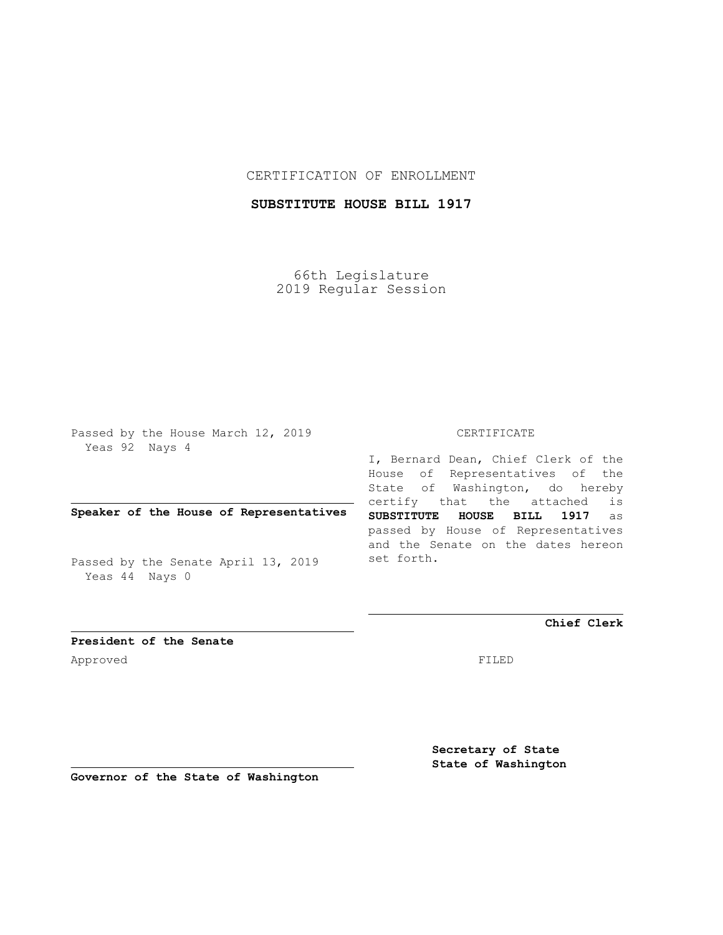## CERTIFICATION OF ENROLLMENT

# **SUBSTITUTE HOUSE BILL 1917**

66th Legislature 2019 Regular Session

Passed by the House March 12, 2019 Yeas 92 Nays 4

## **Speaker of the House of Representatives**

Passed by the Senate April 13, 2019 Yeas 44 Nays 0

#### CERTIFICATE

I, Bernard Dean, Chief Clerk of the House of Representatives of the State of Washington, do hereby certify that the attached is **SUBSTITUTE HOUSE BILL 1917** as passed by House of Representatives and the Senate on the dates hereon set forth.

**Chief Clerk**

**President of the Senate** Approved FILED

> **Secretary of State State of Washington**

**Governor of the State of Washington**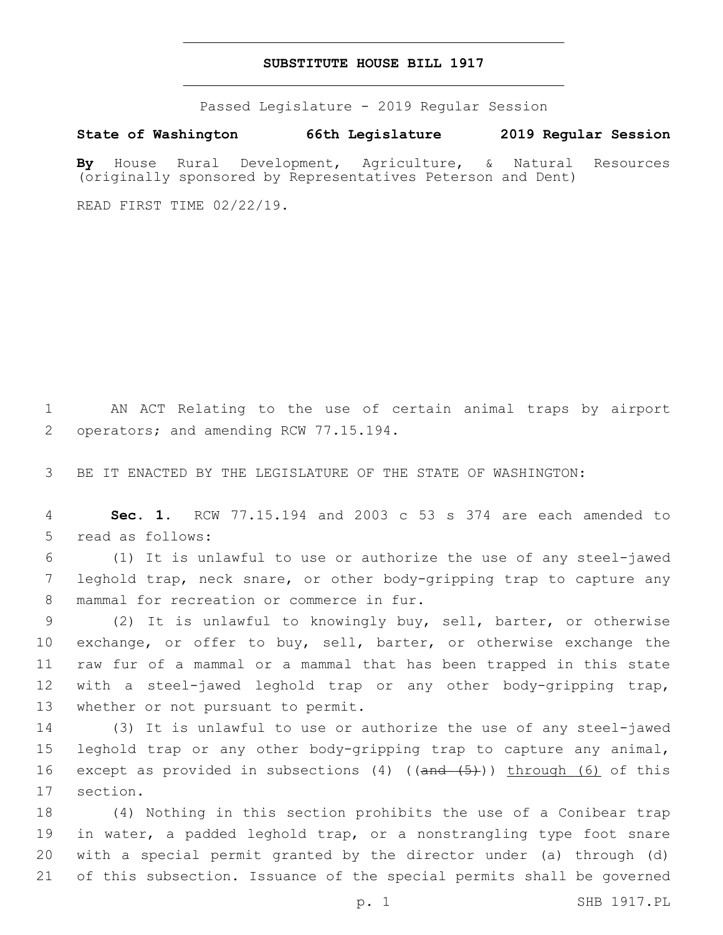#### **SUBSTITUTE HOUSE BILL 1917**

Passed Legislature - 2019 Regular Session

**State of Washington 66th Legislature 2019 Regular Session**

**By** House Rural Development, Agriculture, & Natural Resources (originally sponsored by Representatives Peterson and Dent)

READ FIRST TIME 02/22/19.

1 AN ACT Relating to the use of certain animal traps by airport 2 operators; and amending RCW 77.15.194.

3 BE IT ENACTED BY THE LEGISLATURE OF THE STATE OF WASHINGTON:

4 **Sec. 1.** RCW 77.15.194 and 2003 c 53 s 374 are each amended to 5 read as follows:

6 (1) It is unlawful to use or authorize the use of any steel-jawed 7 leghold trap, neck snare, or other body-gripping trap to capture any 8 mammal for recreation or commerce in fur.

9 (2) It is unlawful to knowingly buy, sell, barter, or otherwise 10 exchange, or offer to buy, sell, barter, or otherwise exchange the 11 raw fur of a mammal or a mammal that has been trapped in this state 12 with a steel-jawed leghold trap or any other body-gripping trap, 13 whether or not pursuant to permit.

14 (3) It is unlawful to use or authorize the use of any steel-jawed 15 leghold trap or any other body-gripping trap to capture any animal, 16 except as provided in subsections (4) ((and (5))) through (6) of this 17 section.

 (4) Nothing in this section prohibits the use of a Conibear trap 19 in water, a padded leghold trap, or a nonstrangling type foot snare with a special permit granted by the director under (a) through (d) of this subsection. Issuance of the special permits shall be governed

p. 1 SHB 1917.PL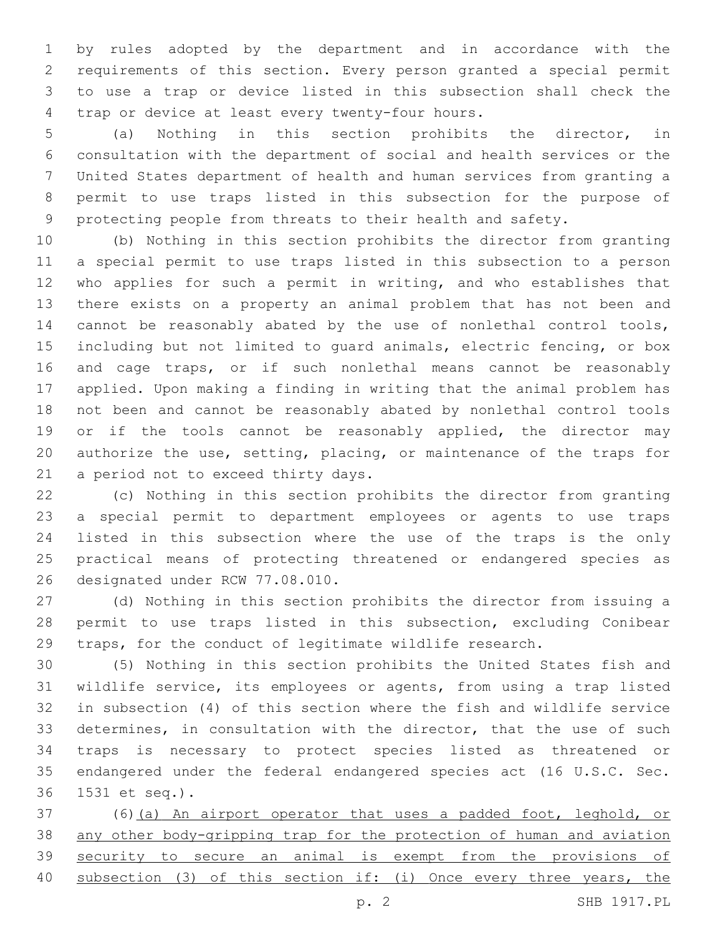by rules adopted by the department and in accordance with the requirements of this section. Every person granted a special permit to use a trap or device listed in this subsection shall check the 4 trap or device at least every twenty-four hours.

 (a) Nothing in this section prohibits the director, in consultation with the department of social and health services or the United States department of health and human services from granting a permit to use traps listed in this subsection for the purpose of protecting people from threats to their health and safety.

 (b) Nothing in this section prohibits the director from granting a special permit to use traps listed in this subsection to a person who applies for such a permit in writing, and who establishes that there exists on a property an animal problem that has not been and cannot be reasonably abated by the use of nonlethal control tools, including but not limited to guard animals, electric fencing, or box and cage traps, or if such nonlethal means cannot be reasonably applied. Upon making a finding in writing that the animal problem has not been and cannot be reasonably abated by nonlethal control tools 19 or if the tools cannot be reasonably applied, the director may authorize the use, setting, placing, or maintenance of the traps for 21 a period not to exceed thirty days.

 (c) Nothing in this section prohibits the director from granting a special permit to department employees or agents to use traps listed in this subsection where the use of the traps is the only practical means of protecting threatened or endangered species as 26 designated under RCW 77.08.010.

 (d) Nothing in this section prohibits the director from issuing a permit to use traps listed in this subsection, excluding Conibear traps, for the conduct of legitimate wildlife research.

 (5) Nothing in this section prohibits the United States fish and wildlife service, its employees or agents, from using a trap listed in subsection (4) of this section where the fish and wildlife service determines, in consultation with the director, that the use of such traps is necessary to protect species listed as threatened or endangered under the federal endangered species act (16 U.S.C. Sec. 1531 et seq.).36

 (6)(a) An airport operator that uses a padded foot, leghold, or any other body-gripping trap for the protection of human and aviation security to secure an animal is exempt from the provisions of subsection (3) of this section if: (i) Once every three years, the